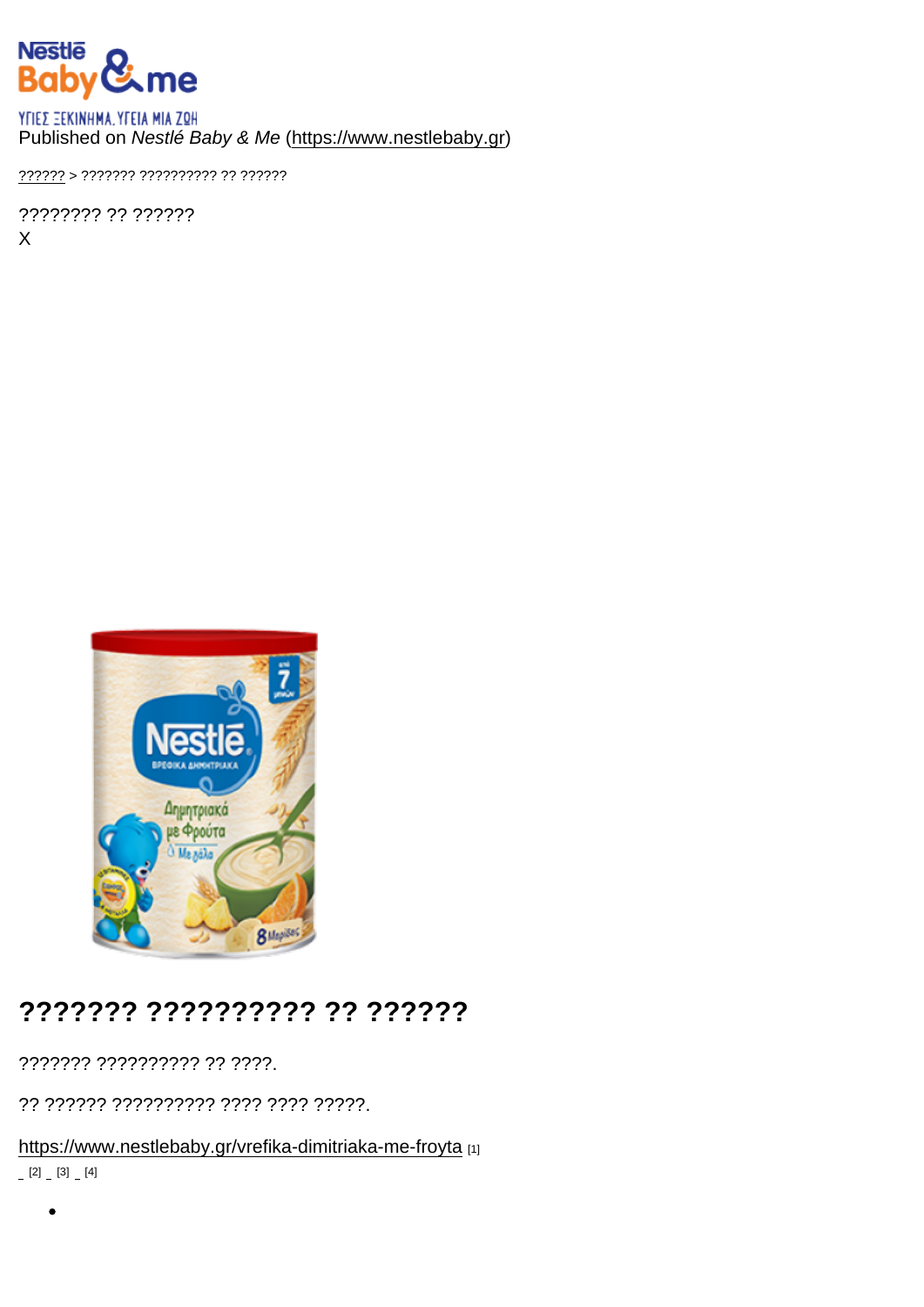#### Published on Nestlé Baby & Me [\(https://www.nestlebaby.gr](https://www.nestlebaby.gr))

[??????](https://www.nestlebaby.gr/) > ??????? ?????????? ?? ??????

???????? ?? ?????? X

## ??????? ?????????? ?? ??????

??????? ?????????? ?? ????.

?? ?????? ?????????? ???? ???? ?????.

<https://www.nestlebaby.gr/vrefika-dimitriaka-me-froyta> [1]  $[2]$   $[3]$   $[4]$ 

 $\bullet$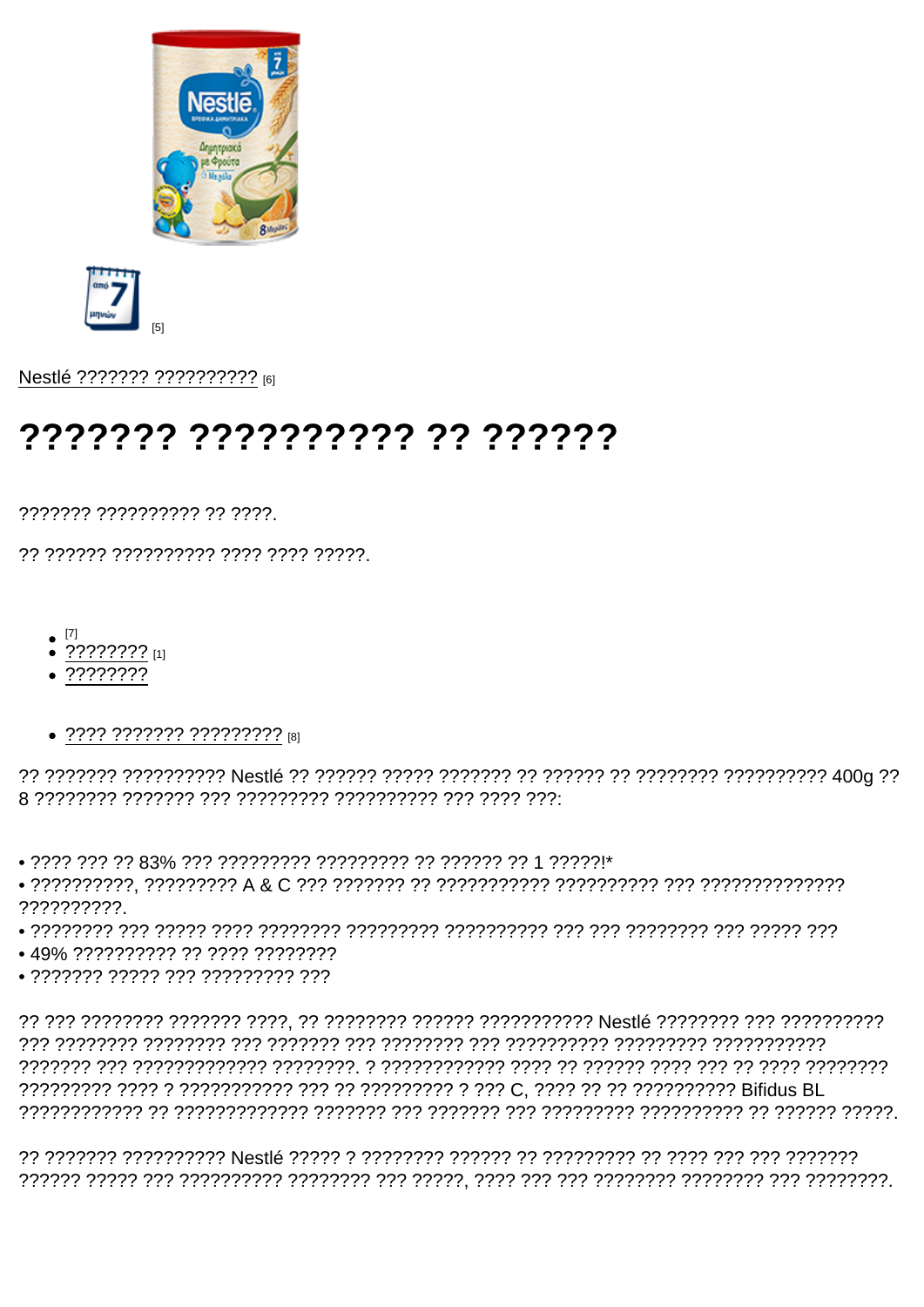$[5]$ 

Nestlé ??????? ?????????? [6]

# **¿¿¿¿¿¿ ¿¿ ¿¿¿¿¿¿¿¿ ¿¿¿¿¿¿**

7777777 7777777777 77 7777

77 777777 7777777777 7777 7777 77777

- $\bullet$  [7]
- $\bullet$  ???????? [1]
- $.77777777$
- $\bullet$  ???? ??????? ????????? թյ

• 2222 222 23 83% 222 222222222 222222222 22 222212 224 22221\*

??????????

- 
- 49% ?????????? ?? ???? ????????
- $\bullet$ ??????? ????? ??? ????????? ???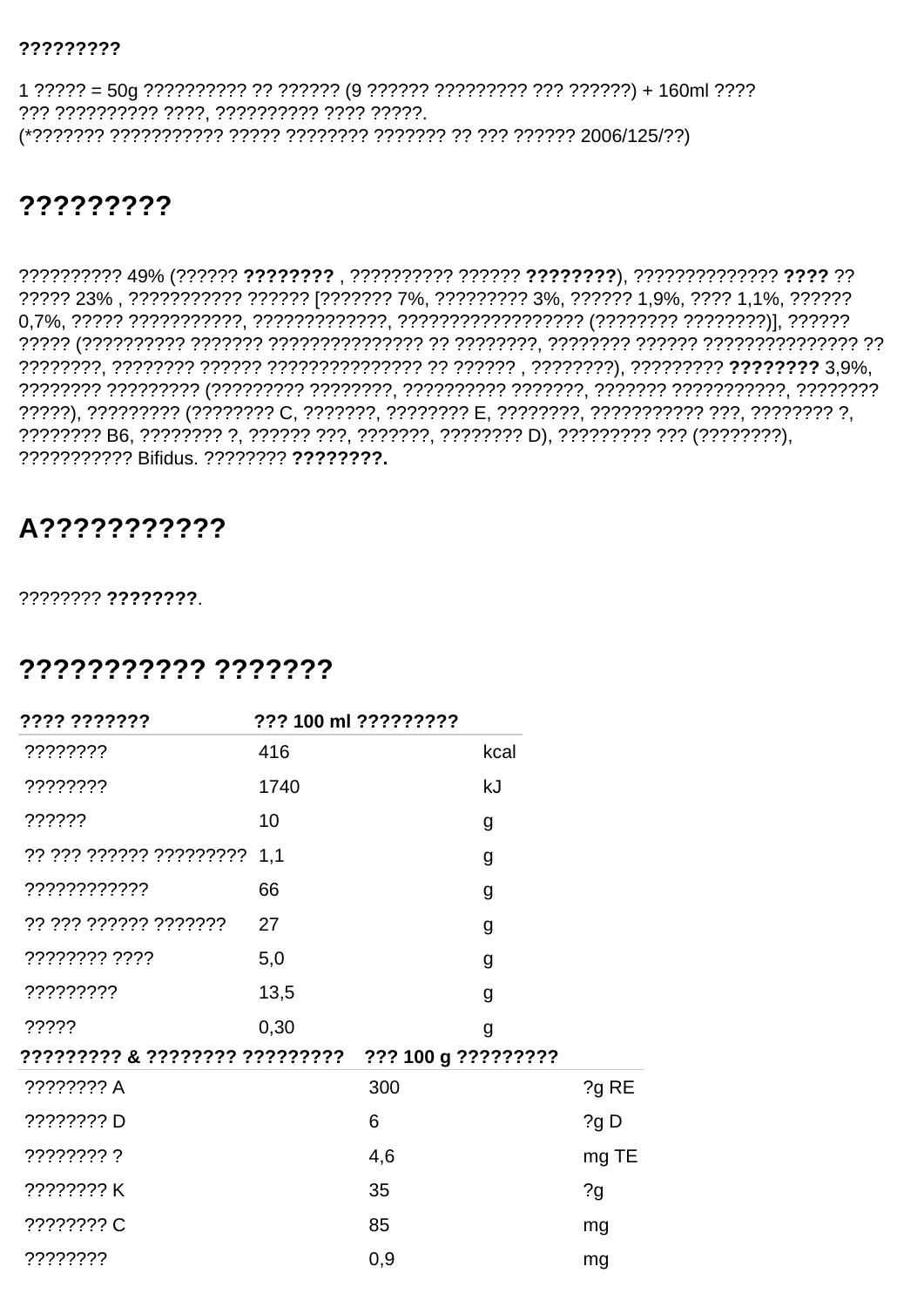#### ?????????

??? ?????????? ????, ?????????? ???? ?????. 

### ?????????

????? 23%, ??????????? ?????? [??????? 7%, ????????? 3%, ?????? 1,9%, ???? 1,1%, ?????? ??????????? Bifidus. ???????? ????????.

## A???????????

???????? ????????

### ??????????? ???????

| ???? ???????                   | ??? 100 ml ????????? |                     |       |
|--------------------------------|----------------------|---------------------|-------|
| ????????                       | 416                  | kcal                |       |
| ????????                       | 1740                 | kJ                  |       |
| ??????                         | 10                   | g                   |       |
| ?? ??? ?????? ????????? 1,1    |                      | g                   |       |
| ????????????                   | 66                   | g                   |       |
| ?? ??? ?????? ???????          | 27                   | g                   |       |
| ???????? ????                  | 5,0                  | g                   |       |
| ?????????                      | 13,5                 | g                   |       |
| ?????                          | 0,30                 | g                   |       |
| ????????? & ???????? ????????? |                      | ??? 100 g ????????? |       |
| ???????? A                     |                      | 300                 | ?g RE |
| ???????? D                     |                      | 6                   | ?gD   |
| ???????? ?                     |                      | 4,6                 | mg TE |
| ???????? K                     |                      | 35                  | 2g    |
| ???????? C                     |                      | 85                  | mg    |
| ????????                       |                      | 0,9                 | mg    |